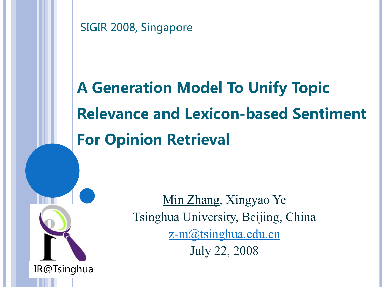SIGIR 2008, Singapore

IR@Tsinghua

# A Generation Model To Unify Topic Relevance and Lexicon-based Sentiment For Opinion Retrieval

Min Zhang, Xingyao Ye Tsinghua University, Beijing, China [z-m@tsinghua.edu.cn](mailto:z-m@tsinghua.edu.cn) July 22, 2008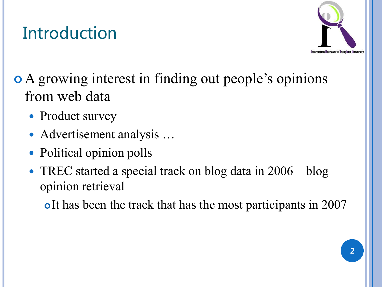#### Introduction



 A growing interest in finding out people's opinions from web data

- Product survey
- Advertisement analysis …
- Political opinion polls
- TREC started a special track on blog data in 2006 blog opinion retrieval

o It has been the track that has the most participants in 2007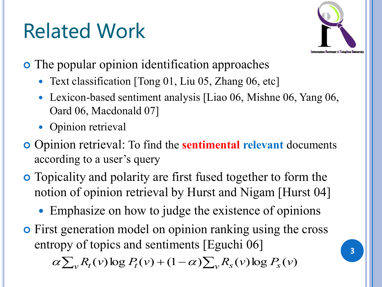# Related Work



- The popular opinion identification approaches
	- Text classification [Tong 01, Liu 05, Zhang 06, etc]
	- Lexicon-based sentiment analysis [Liao 06, Mishne 06, Yang 06, Oard 06, Macdonald 07]
	- Opinion retrieval
- Opinion retrieval: To find the **sentimental relevant** documents according to a user's query
- Topicality and polarity are first fused together to form the notion of opinion retrieval by Hurst and Nigam [Hurst 04]
	- Emphasize on how to judge the existence of opinions
- First generation model on opinion ranking using the cross entropy of topics and sentiments [Eguchi 06]  $\alpha \sum_{v} R_{t}(v) \log P_{t}(v) + (1 - \alpha) \sum_{v} R_{s}(v) \log P_{s}(v)$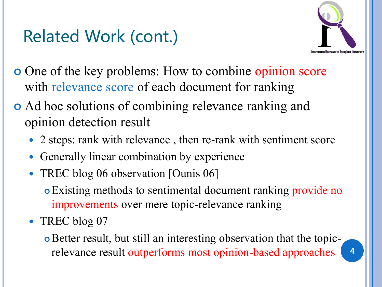#### Related Work (cont.)



- One of the key problems: How to combine opinion score with relevance score of each document for ranking
- Ad hoc solutions of combining relevance ranking and opinion detection result
	- 2 steps: rank with relevance , then re-rank with sentiment score
	- Generally linear combination by experience
	- TREC blog 06 observation [Ounis 06]
		- Existing methods to sentimental document ranking provide no improvements over mere topic-relevance ranking
	- TREC blog 07
		- Better result, but still an interesting observation that the topicrelevance result outperforms most opinion-based approaches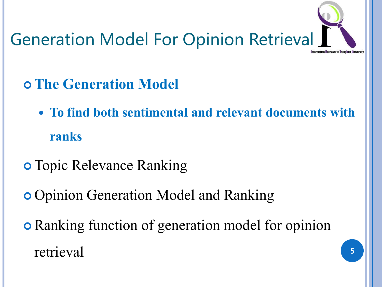

- **The Generation Model** 
	- **To find both sentimental and relevant documents with ranks**
- **o** Topic Relevance Ranking
- **o** Opinion Generation Model and Ranking
- Ranking function of generation model for opinion retrieval 5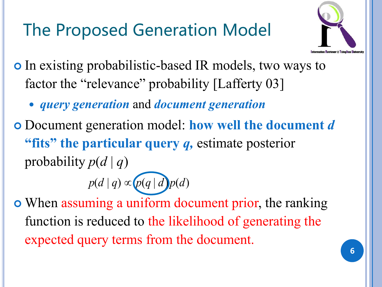## The Proposed Generation Model



- In existing probabilistic-based IR models, two ways to factor the "relevance" probability [Lafferty 03]
	- *query generation* and *document generation*
- Document generation model: **how well the document** *d* **"fits" the particular query** *q,* estimate posterior probability  $p(d | q)$

## $p(d | q) \propto p(q | d) p(d)$

 When assuming a uniform document prior, the ranking function is reduced to the likelihood of generating the expected query terms from the document.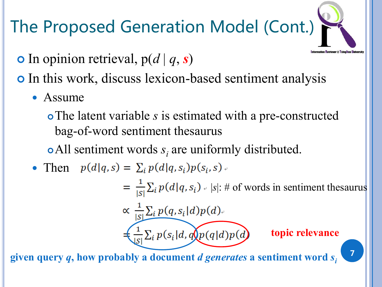## The Proposed Generation Model (Cont.)



- In this work, discuss lexicon-based sentiment analysis
	- Assume
		- The latent variable *s* is estimated with a pre-constructed bag-of-word sentiment thesaurus
		- $\bullet$  All sentiment words  $s_i$  are uniformly distributed.
	- Then  $p(d|q,s) = \sum_{i} p(d|q,s_i)p(s_i,s)$ .

 $=\frac{1}{|s|}\sum_{i} p(d|q,s_i)$   $\neq$  |s|: # of words in sentiment thesaurus

$$
\propto \frac{1}{|S|}\sum_{i} p(q, s_i | d) p(d).
$$

 $=\frac{1}{|S|}\sum_{i} p(s_i|d, q)p(q|d)p(d)$ 

#### **topic relevance**

7

**given query** *q***, how probably a document** *d generates* **a sentiment word** *s<sup>i</sup>*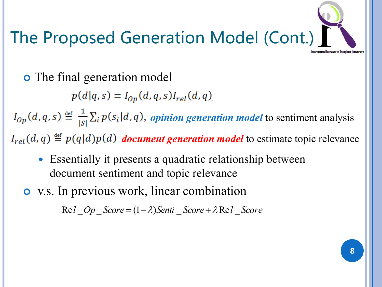# The Proposed Generation Model (Cont.)

The final generation model

 $p(d|q,s) = I_{op}(d,q,s)I_{rel}(d,q)$ 

 $I_{Op}(d,q,s) \stackrel{\text{def}}{=} \frac{1}{|s|} \sum_i p(s_i|d,q)$ , *opinion generation model* to sentiment analysis

 $I_{rel}(d, q) \stackrel{\text{def}}{=} p(q|d)p(d)$  *document generation model* to estimate topic relevance

- Essentially it presents a quadratic relationship between document sentiment and topic relevance
- v.s. In previous work, linear combination

 $Rel$  *Op*  $Score = (1 - \lambda)Senti$   $Score + \lambda Rel$  *Score*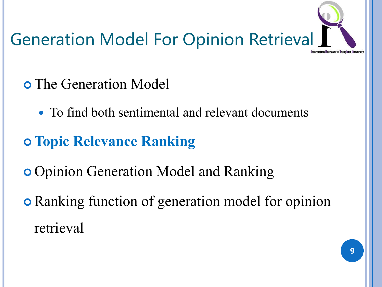

- The Generation Model
	- To find both sentimental and relevant documents
- **Topic Relevance Ranking**
- **o** Opinion Generation Model and Ranking
- Ranking function of generation model for opinion retrieval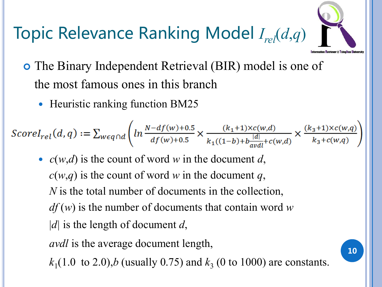

## Topic Relevance Ranking Model *Irel*(*d*,*q*)

- The Binary Independent Retrieval (BIR) model is one of the most famous ones in this branch
	- Heuristic ranking function BM25

$$
ScoreI_{rel}(d,q) := \sum_{w \in q \cap d} \left( ln \frac{N - df(w) + 0.5}{df(w) + 0.5} \times \frac{(k_1 + 1) \times c(w,d)}{k_1((1-b) + b \frac{|d|}{avdl} + c(w,d)} \times \frac{(k_3 + 1) \times c(w,q)}{k_3 + c(w,q)} \right)
$$

 *c*(*w*,*d*) is the count of word *w* in the document *d*,  $c(w,q)$  is the count of word *w* in the document *q*, *N* is the total number of documents in the collection, *df* (*w*) is the number of documents that contain word *w* |*d|* is the length of document *d*,

*avdl* is the average document length,

 $k_1(1.0 \text{ to } 2.0), b \text{ (usually } 0.75) \text{ and } k_3 \text{ (0 to } 1000) \text{ are constants.}$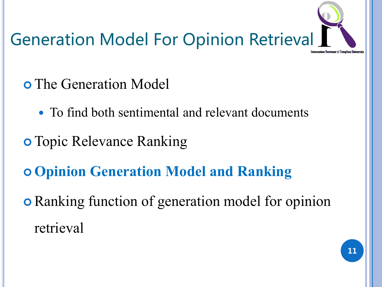

- The Generation Model
	- To find both sentimental and relevant documents
- **o** Topic Relevance Ranking
- **Opinion Generation Model and Ranking**
- Ranking function of generation model for opinion retrieval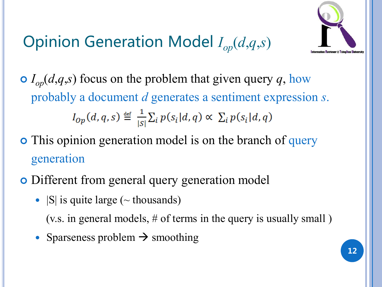#### Opinion Generation Model *Iop*(*d*,*q*,*s*)



 $I_{op}(d,q,s)$  focus on the problem that given query *q*, how probably a document *d* generates a sentiment expression *s*.  $I_{Op}(d,q,s) \stackrel{\text{def}}{=} \frac{1}{|s|} \sum_i p(s_i|d,q) \propto \sum_i p(s_i|d,q)$ 

• This opinion generation model is on the branch of query generation

- Different from general query generation model
	- $|S|$  is quite large ( $\sim$  thousands)

(v.s. in general models, # of terms in the query is usually small )

• Sparseness problem  $\rightarrow$  smoothing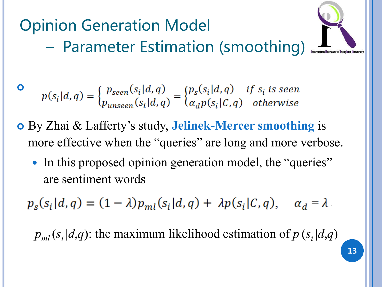Opinion Generation Model – Parameter Estimation (smoothing)



 $p(s_i|d,q) = \begin{cases} p_{seen}(s_i|d,q) \\ p_{unseen}(s_i|d,q) \end{cases} = \begin{cases} p_s(s_i|d,q) & \text{if } s_i \text{ is seen} \\ \alpha_d p(s_i|C,q) & \text{otherwise} \end{cases}$ 

 $\bullet$ 

- By Zhai & Lafferty's study, **Jelinek-Mercer smoothing** is more effective when the "queries" are long and more verbose.
	- In this proposed opinion generation model, the "queries" are sentiment words

 $p_s(s_i|d,q) = (1-\lambda)p_{ml}(s_i|d,q) + \lambda p(s_i|C,q), \quad \alpha_d = \lambda$ 

 $p_{ml}(s_i|d,q)$ : the maximum likelihood estimation of  $p(s_i|d,q)$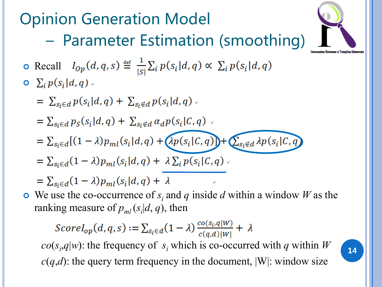Opinion Generation Model – Parameter Estimation (smoothing) • Recall  $I_{op}(d,q,s) \stackrel{\text{def}}{=} \frac{1}{|s|} \sum_i p(s_i|d,q) \propto \sum_i p(s_i|d,q)$  $\sum_i p(s_i|d, q)$ .  $= \sum_{s_i \in d} p(s_i|d, q) + \sum_{s_i \notin d} p(s_i|d, q)$  $=\sum_{s_i\in d}p_S(s_i|d,q)+\sum_{s_i\notin d}\alpha_d p(s_i|C,q)$ .  $= \sum_{s_i \in d} [(1-\lambda)p_{ml}(s_i|d,q) + (\lambda p(s_i|C,q))] + \sum_{s_i \notin d} \lambda p(s_i|C,q)$  $=\sum_{s_i\in d}(1-\lambda)p_{ml}(s_i|d,q)+\lambda\sum_{i}p(s_i|C,q)$ .  $=\sum_{s_i\in d}(1-\lambda)p_{ml}(s_i|d,q)+\lambda$ • We use the co-occurrence of  $s_i$  and  $q$  inside  $d$  within a window  $W$  as the ranking measure of  $p_{ml}(s_i|d, q)$ , then  $ScoreI_{op}(d,q,s) := \sum_{s_i \in d} (1 - \lambda) \frac{co(s_i,q|W)}{c(a,d)|W|} + \lambda$  $co(s_i, q|w)$ : the frequency of  $s_i$  which is co-occurred with *q* within *W* 14  $c(q,d)$ : the query term frequency in the document,  $|W|$ : window size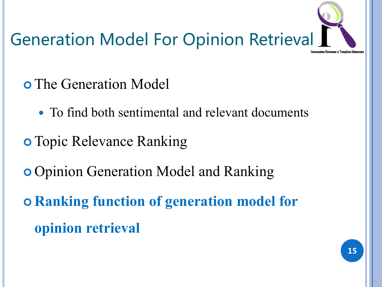

- The Generation Model
	- To find both sentimental and relevant documents
- **o** Topic Relevance Ranking
- **o** Opinion Generation Model and Ranking
- **Ranking function of generation model for opinion retrieval**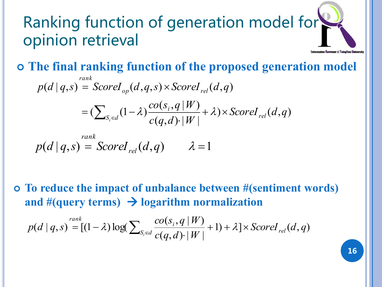#### Ranking function of generation model for opinion retrieval ation Retriever @ Tsingh

**The final ranking function of the proposed generation model** 

$$
p(d | q,s) = ScoreI_{op}(d,q,s) \times ScoreI_{rel}(d,q)
$$
  
= 
$$
(\sum_{S_i \in d} (1-\lambda) \frac{co(s_i, q | W)}{c(q, d) \cdot |W|} + \lambda) \times ScoreI_{rel}(d,q)
$$

$$
p(d | q,s) = ScoreI_{rel}(d,q) \qquad \lambda = 1
$$

 **To reduce the impact of unbalance between #(sentiment words)**  and  $#(query terms) \rightarrow logarithm normalization$ 

$$
p(d | q,s) = [(1-\lambda)\log(\sum_{S_i \in d} \frac{co(s_i, q | W)}{c(q, d) \cdot |W|} + 1) + \lambda] \times ScoreI_{rel}(d, q)
$$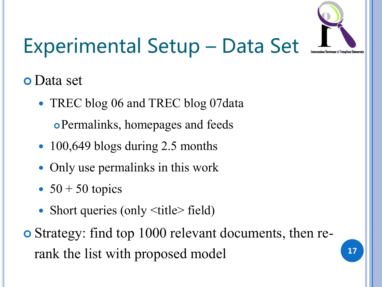

# Experimental Setup – Data Set

#### Data set

- TREC blog 06 and TREC blog 07 data Permalinks, homepages and feeds
- 100,649 blogs during 2.5 months
- Only use permalinks in this work
- $\bullet$  50 + 50 topics
- Short queries (only  $\leq$ title $\geq$  field)
- Strategy: find top 1000 relevant documents, then rerank the list with proposed model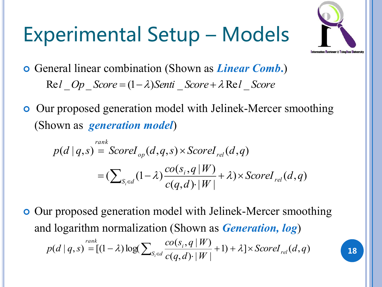# Experimental Setup – Models



18

- General linear combination (Shown as *Linear Comb***.**)  $Rel$  *Op*  $Score = (1 - \lambda)Senti$   $Score + \lambda Rel$  *Score*
- **o** Our proposed generation model with Jelinek-Mercer smoothing (Shown as *generation model*)

$$
p(d | q,s) = ScoreI_{op}(d,q,s) \times ScoreI_{rel}(d,q)
$$
  
= 
$$
(\sum_{S_i \in d} (1-\lambda) \frac{co(s_i, q | W)}{c(q, d) \cdot |W|} + \lambda) \times ScoreI_{rel}(d,q)
$$

 Our proposed generation model with Jelinek-Mercer smoothing and logarithm normalization (Shown as *Generation, log*)  $[1] + \lambda \, ] \times ScoreI_{rel}(d, q)$  $(q, d)$  |  $W$ |  $(s_i, q | W)$  $(d | q, s) = [(1 - \lambda)log(\sum_{s \in \mathcal{A}} \frac{co(s_i, q | r, r)}{s + s + s + 1}) + \lambda] \times ScoreI_{rel}(d, q)$  $c(q,d)$ · $|W|$  $co(s_i, q \mid W)$  $p(d | q, s) = [(1 - \lambda) \log(\sum_{S_i \in d} \frac{cO(s_i, q | W)}{c(a, d), |W|} + 1) + \lambda] \times ScoreI_{rel}$ *rank i*  $+1)+\lambda$ ]×  $= [(1-\lambda)\log(\sum_{S_i \in d} \frac{co(S_i, q \mid W)}{c(q, d) \cdot |W|} + 1) + \lambda]$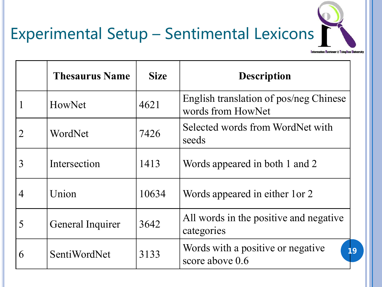## Experimental Setup – Sentimental Lexicons

**Information Retriever @ Tsinghua University** 

|   | <b>Thesaurus Name</b> | <b>Size</b> | <b>Description</b>                                          |
|---|-----------------------|-------------|-------------------------------------------------------------|
|   | HowNet                | 4621        | English translation of pos/neg Chinese<br>words from HowNet |
| 2 | WordNet               | 7426        | Selected words from WordNet with<br>seeds                   |
| 3 | Intersection          | 1413        | Words appeared in both 1 and 2                              |
| 4 | Union                 | 10634       | Words appeared in either 1 or 2                             |
| 5 | General Inquirer      | 3642        | All words in the positive and negative<br>categories        |
| 6 | SentiWordNet          | 3133        | Words with a positive or negative<br>19<br>score above 0.6  |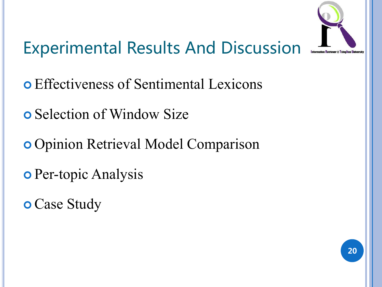

## Experimental Results And Discussion

- Effectiveness of Sentimental Lexicons
- **o** Selection of Window Size
- Opinion Retrieval Model Comparison
- **o** Per-topic Analysis
- **o** Case Study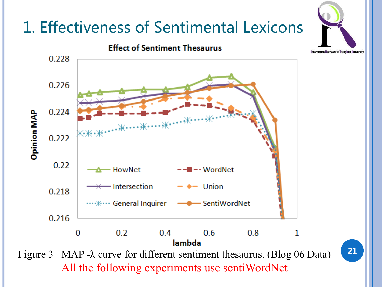#### 1. Effectiveness of Sentimental Lexicons

**Effect of Sentiment Thesaurus** 0.228 0.226 0.224 Opinion MAP …\*\*……\* 0.222  $0.22$ - HowNet  $\blacksquare$   $\blacksquare$   $\blacksquare$   $\blacksquare$   $\blacksquare$   $\blacksquare$   $\blacksquare$   $\blacksquare$ - Intersection - Union 0.218 …<sub>\*</sub> i… General Inquirer - SentiWordNet 0.216  $0.2$  $\Omega$  $0.4$  $0.6$  $0.8$ 1 lambda Figure 3 MAP -λ curve for different sentiment thesaurus. (Blog 06 Data)

21

All the following experiments use sentiWordNet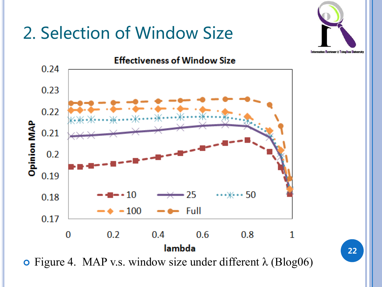#### 2. Selection of Window Size





**o** Figure 4. MAP v.s. window size under different  $\lambda$  (Blog06)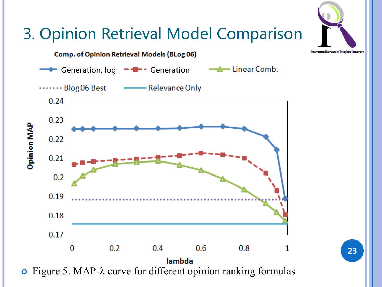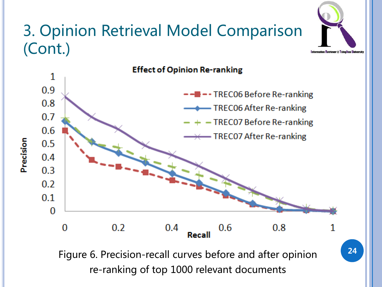#### 3. Opinion Retrieval Model Comparison (Cont.)

Precision



Figure 6. Precision-recall curves before and after opinion re-ranking of top 1000 relevant documents

nformation Retriever @ Tsinghua Uni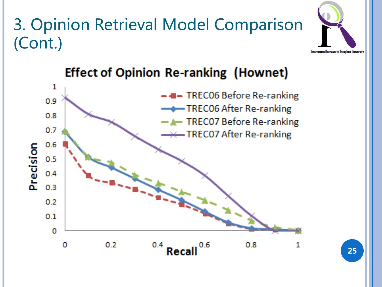#### 3. Opinion Retrieval Model Comparison (Cont.)





#### **Effect of Opinion Re-ranking (Hownet)**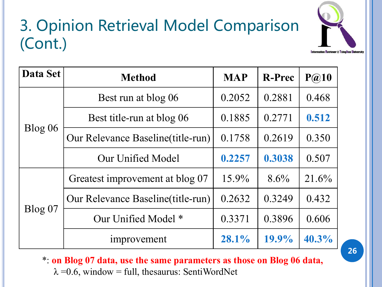#### 3. Opinion Retrieval Model Comparison (Cont.)



| Data Set | <b>Method</b>                      |          | <b>R-Prec</b> | P@10     |
|----------|------------------------------------|----------|---------------|----------|
|          | Best run at blog 06                | 0.2052   | 0.2881        | 0.468    |
|          | Best title-run at blog 06          | 0.1885   | 0.2771        | 0.512    |
| Blog 06  | Our Relevance Baseline (title-run) | 0.1758   | 0.2619        | 0.350    |
|          | Our Unified Model                  | 0.2257   | 0.3038        | 0.507    |
|          | Greatest improvement at blog 07    | $15.9\%$ | $8.6\%$       | 21.6%    |
|          | Our Relevance Baseline (title-run) | 0.2632   | 0.3249        | 0.432    |
| Blog 07  | Our Unified Model *                | 0.3371   | 0.3896        | 0.606    |
|          | improvement                        | $28.1\%$ | $19.9\%$      | $40.3\%$ |

\*: **on Blog 07 data, use the same parameters as those on Blog 06 data,**   $\lambda = 0.6$ , window = full, thesaurus: SentiWordNet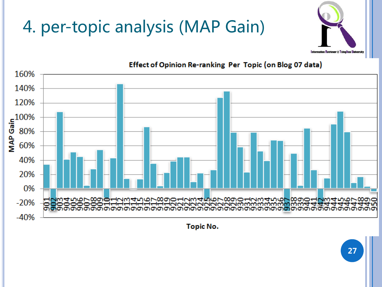## 4. per-topic analysis (MAP Gain)





#### Effect of Opinion Re-ranking Per Topic (on Blog 07 data)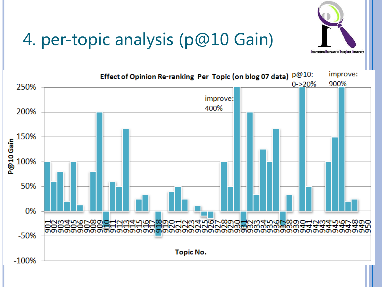

#### 4. per-topic analysis (p@10 Gain)

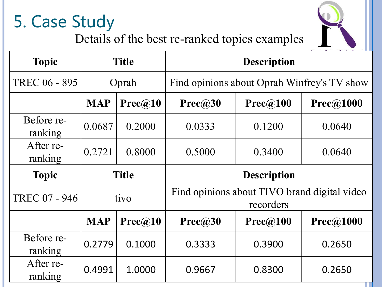## 5. Case Study



Details of the best re-ranked topics examples

| <b>Topic</b>          | <b>Title</b> |         | <b>Description</b>                                        |          |           |  |
|-----------------------|--------------|---------|-----------------------------------------------------------|----------|-----------|--|
| TREC 06 - 895         | Oprah        |         | Find opinions about Oprah Winfrey's TV show               |          |           |  |
|                       | <b>MAP</b>   | Prec@10 | Prec@30                                                   | Prec@100 | Prec@1000 |  |
| Before re-<br>ranking | 0.0687       | 0.2000  | 0.0333                                                    | 0.1200   | 0.0640    |  |
| After re-<br>ranking  | 0.2721       | 0.8000  | 0.5000                                                    | 0.3400   | 0.0640    |  |
| <b>Topic</b>          | <b>Title</b> |         | <b>Description</b>                                        |          |           |  |
| TREC 07 - 946         | tivo         |         | Find opinions about TIVO brand digital video<br>recorders |          |           |  |
|                       | <b>MAP</b>   | Prec@10 | Prec@30                                                   | Prec@100 | Prec@1000 |  |
| Before re-<br>ranking | 0.2779       | 0.1000  | 0.3333                                                    | 0.3900   | 0.2650    |  |
|                       |              |         |                                                           |          |           |  |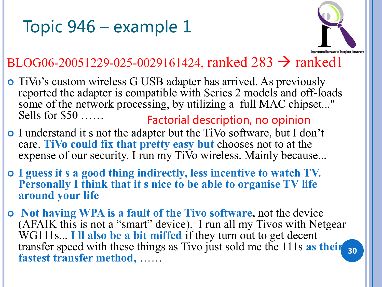#### Topic 946 – example 1



#### BLOG06-20051229-025-0029161424, ranked  $283 \rightarrow$  ranked1

- TiVo's custom wireless G USB adapter has arrived. As previously reported the adapter is compatible with Series 2 models and off-loads some of the network processing, by utilizing a full MAC chipset..." Sells for \$50 …… Factorial description, no opinion
- I understand it s not the adapter but the TiVo software, but I don't care. **TiVo could fix that pretty easy but** chooses not to at the expense of our security. I run my TiVo wireless. Mainly because...
- **I guess it s a good thing indirectly, less incentive to watch TV. Personally I think that it s nice to be able to organise TV life around your life**
- **Not having WPA is a fault of the Tivo software,** not the device (AFAIK this is not a "smart" device). I run all my Tivos with Netgear WG111s... **I ll also be a bit miffed** if they turn out to get decent transfer speed with these things as Tivo just sold me the 111s **as their**  30 **fastest transfer method,** ……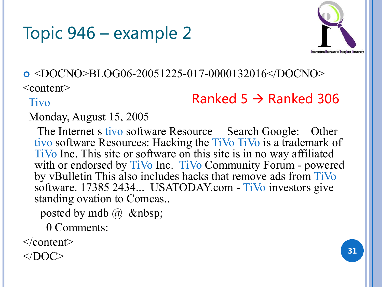#### Topic 946 – example 2



#### <DOCNO>BLOG06-20051225-017-0000132016</DOCNO>

<content>

Tivo

#### Ranked 5  $\rightarrow$  Ranked 306

#### Monday, August 15, 2005

The Internet s tivo software Resource Search Google: Other tivo software Resources: Hacking the TiVo TiVo is a trademark of TiVo Inc. This site or software on this site is in no way affiliated with or endorsed by TiVo Inc. TiVo Community Forum - powered by vBulletin This also includes hacks that remove ads from TiVo software. 17385 2434... USATODAY.com - TiVo investors give standing ovation to Comcas..

posted by mdb  $\omega$ 

0 Comments:

</content>

 $<$ /DOC> 31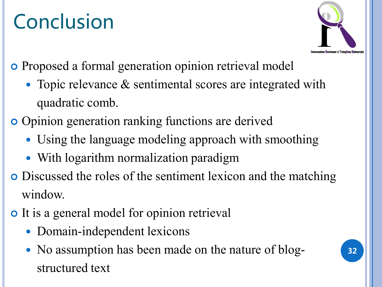# Conclusion



- Proposed a formal generation opinion retrieval model
	- Topic relevance & sentimental scores are integrated with quadratic comb.
- Opinion generation ranking functions are derived
	- Using the language modeling approach with smoothing
	- With logarithm normalization paradigm
- Discussed the roles of the sentiment lexicon and the matching window.
- It is a general model for opinion retrieval
	- Domain-independent lexicons
	- No assumption has been made on the nature of blogstructured text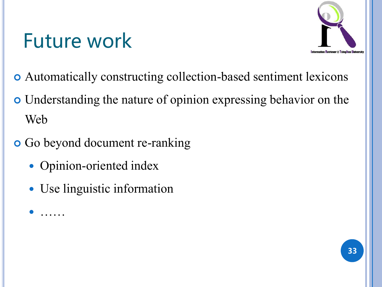# Future work



- Automatically constructing collection-based sentiment lexicons
- Understanding the nature of opinion expressing behavior on the Web
- Go beyond document re-ranking
	- Opinion-oriented index

……

• Use linguistic information